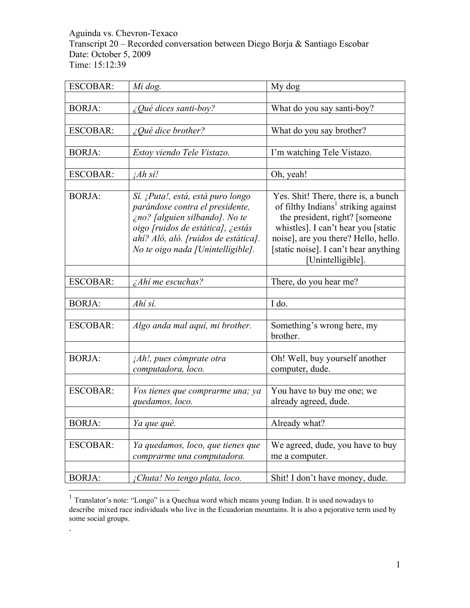Aguinda vs. Chevron-Texaco Transcript 20 – Recorded conversation between Diego Borja & Santiago Escobar Date: October 5, 2009 Time: 15:12:39

| <b>ESCOBAR:</b> | Mi dog.                                                                                                                                                                                                                  | My dog                                                                                                                                                                                                                                                               |
|-----------------|--------------------------------------------------------------------------------------------------------------------------------------------------------------------------------------------------------------------------|----------------------------------------------------------------------------------------------------------------------------------------------------------------------------------------------------------------------------------------------------------------------|
|                 |                                                                                                                                                                                                                          |                                                                                                                                                                                                                                                                      |
| <b>BORJA:</b>   | ¿Qué dices santi-boy?                                                                                                                                                                                                    | What do you say santi-boy?                                                                                                                                                                                                                                           |
|                 |                                                                                                                                                                                                                          |                                                                                                                                                                                                                                                                      |
| <b>ESCOBAR:</b> | $\angle$ <i>Qué dice brother?</i>                                                                                                                                                                                        | What do you say brother?                                                                                                                                                                                                                                             |
|                 |                                                                                                                                                                                                                          |                                                                                                                                                                                                                                                                      |
| <b>BORJA:</b>   | Estoy viendo Tele Vistazo.                                                                                                                                                                                               | I'm watching Tele Vistazo.                                                                                                                                                                                                                                           |
|                 |                                                                                                                                                                                                                          |                                                                                                                                                                                                                                                                      |
| <b>ESCOBAR:</b> | jAh si!                                                                                                                                                                                                                  | Oh, yeah!                                                                                                                                                                                                                                                            |
|                 |                                                                                                                                                                                                                          |                                                                                                                                                                                                                                                                      |
| <b>BORJA:</b>   | Sí. ¡Puta!, está, está puro longo<br>parándose contra el presidente,<br>ino? [alguien silbando]. No te<br>oigo [ruidos de estática], ¿estás<br>ahí? Aló, aló. [ruidos de estática].<br>No te oigo nada [Unintelligible]. | Yes. Shit! There, there is, a bunch<br>of filthy Indians <sup>1</sup> striking against<br>the president, right? [someone<br>whistles]. I can't hear you [static<br>noise], are you there? Hello, hello.<br>[static noise]. I can't hear anything<br>Unintelligible]. |
| <b>ESCOBAR:</b> | ¿Ahí me escuchas?                                                                                                                                                                                                        | There, do you hear me?                                                                                                                                                                                                                                               |
|                 |                                                                                                                                                                                                                          |                                                                                                                                                                                                                                                                      |
| <b>BORJA:</b>   | Ahí sí.                                                                                                                                                                                                                  | I do.                                                                                                                                                                                                                                                                |
|                 |                                                                                                                                                                                                                          |                                                                                                                                                                                                                                                                      |
| <b>ESCOBAR:</b> | Algo anda mal aquí, mi brother.                                                                                                                                                                                          | Something's wrong here, my<br>brother.                                                                                                                                                                                                                               |
|                 |                                                                                                                                                                                                                          |                                                                                                                                                                                                                                                                      |
| <b>BORJA:</b>   | $iAh!$ , pues cómprate otra<br>computadora, loco.                                                                                                                                                                        | Oh! Well, buy yourself another<br>computer, dude.                                                                                                                                                                                                                    |
|                 |                                                                                                                                                                                                                          |                                                                                                                                                                                                                                                                      |
| <b>ESCOBAR:</b> | Vos tienes que comprarme una; ya<br>quedamos, loco.                                                                                                                                                                      | You have to buy me one; we<br>already agreed, dude.                                                                                                                                                                                                                  |
|                 |                                                                                                                                                                                                                          |                                                                                                                                                                                                                                                                      |
| BORJA:          | Ya que qué.                                                                                                                                                                                                              | Already what?                                                                                                                                                                                                                                                        |
| <b>ESCOBAR:</b> | Ya quedamos, loco, que tienes que<br>comprarme una computadora.                                                                                                                                                          | We agreed, dude, you have to buy<br>me a computer.                                                                                                                                                                                                                   |
|                 |                                                                                                                                                                                                                          |                                                                                                                                                                                                                                                                      |
| <b>BORJA:</b>   | ¡Chuta! No tengo plata, loco.                                                                                                                                                                                            | Shit! I don't have money, dude.                                                                                                                                                                                                                                      |

<sup>&</sup>lt;sup>1</sup> Translator's note: "Longo" is a Quechua word which means young Indian. It is used nowadays to describe mixed race individuals who live in the Ecuadorian mountains. It is also a pejorative term used by some social groups.

.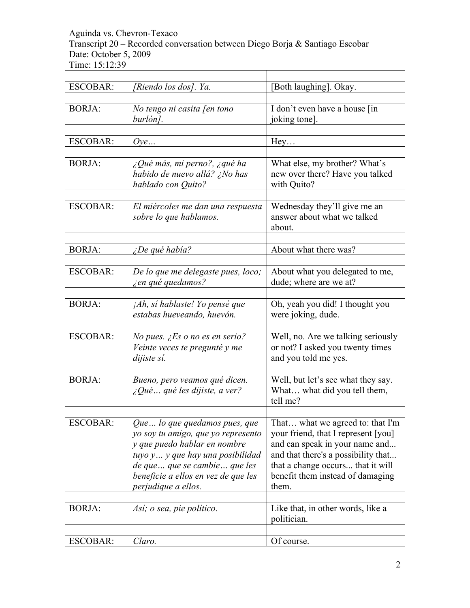Transcript 20 – Recorded conversation between Diego Borja & Santiago Escobar Date: October 5, 2009

| <b>ESCOBAR:</b> | [Riendo los dos]. Ya.                                                                                                                                                                                                                   | [Both laughing]. Okay.                                                                                                                                                                                                             |
|-----------------|-----------------------------------------------------------------------------------------------------------------------------------------------------------------------------------------------------------------------------------------|------------------------------------------------------------------------------------------------------------------------------------------------------------------------------------------------------------------------------------|
| <b>BORJA:</b>   | No tengo ni casita [en tono<br>burlón].                                                                                                                                                                                                 | I don't even have a house [in]<br>joking tone].                                                                                                                                                                                    |
| <b>ESCOBAR:</b> | Ove                                                                                                                                                                                                                                     | Hey                                                                                                                                                                                                                                |
| <b>BORJA:</b>   | ¿Qué más, mi perno?, ¿qué ha<br>habido de nuevo allá? ¿No has<br>hablado con Quito?                                                                                                                                                     | What else, my brother? What's<br>new over there? Have you talked<br>with Quito?                                                                                                                                                    |
| <b>ESCOBAR:</b> | El miércoles me dan una respuesta<br>sobre lo que hablamos.                                                                                                                                                                             | Wednesday they'll give me an<br>answer about what we talked<br>about.                                                                                                                                                              |
| <b>BORJA:</b>   | $\zeta$ De qué había?                                                                                                                                                                                                                   | About what there was?                                                                                                                                                                                                              |
| <b>ESCOBAR:</b> | De lo que me delegaste pues, loco;<br>i en qué quedamos?                                                                                                                                                                                | About what you delegated to me,<br>dude; where are we at?                                                                                                                                                                          |
| <b>BORJA:</b>   | jAh, si hablaste! Yo pensé que<br>estabas hueveando, huevón.                                                                                                                                                                            | Oh, yeah you did! I thought you<br>were joking, dude.                                                                                                                                                                              |
| <b>ESCOBAR:</b> | No pues. $\angle$ Es o no es en serio?<br>Veinte veces te pregunté y me<br>dijiste sí.                                                                                                                                                  | Well, no. Are we talking seriously<br>or not? I asked you twenty times<br>and you told me yes.                                                                                                                                     |
| <b>BORJA:</b>   | Bueno, pero veamos qué dicen.<br>$\lambda$ Qué  qué les dijiste, a ver?                                                                                                                                                                 | Well, but let's see what they say.<br>What what did you tell them,<br>tell me?                                                                                                                                                     |
| <b>ESCOBAR:</b> | Que lo que quedamos pues, que<br>yo soy tu amigo, que yo represento<br>y que puedo hablar en nombre<br>tuyo y y que hay una posibilidad<br>de que  que se cambie  que les<br>beneficie a ellos en vez de que les<br>perjudique a ellos. | That what we agreed to: that I'm<br>your friend, that I represent [you]<br>and can speak in your name and<br>and that there's a possibility that<br>that a change occurs that it will<br>benefit them instead of damaging<br>them. |
| <b>BORJA:</b>   | Así; o sea, pie político.                                                                                                                                                                                                               | Like that, in other words, like a<br>politician.                                                                                                                                                                                   |
| <b>ESCOBAR:</b> | Claro.                                                                                                                                                                                                                                  | Of course.                                                                                                                                                                                                                         |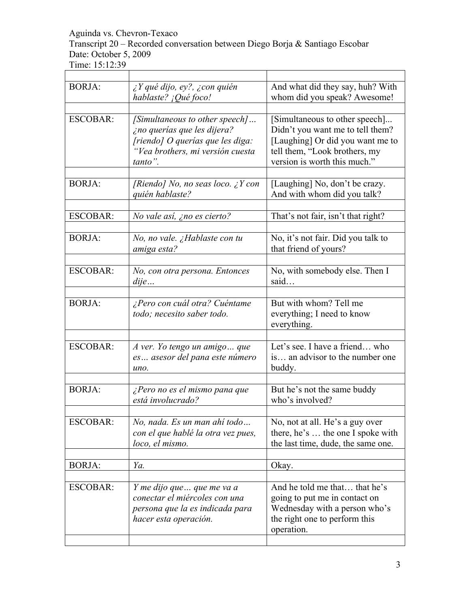Transcript 20 – Recorded conversation between Diego Borja & Santiago Escobar Date: October 5, 2009

Time: 15:12:39

| <b>BORJA:</b>   | $\lambda$ Y qué dijo, ey?, $\lambda$ con quién<br>hablaste? ¡Qué foco!                                                                           | And what did they say, huh? With<br>whom did you speak? Awesome!                                                                                                        |
|-----------------|--------------------------------------------------------------------------------------------------------------------------------------------------|-------------------------------------------------------------------------------------------------------------------------------------------------------------------------|
| <b>ESCOBAR:</b> | [Simultaneous to other speech]<br>¿no querías que les dijera?<br>[riendo] O querías que les diga:<br>"Vea brothers, mi versión cuesta<br>tanto". | [Simultaneous to other speech]<br>Didn't you want me to tell them?<br>[Laughing] Or did you want me to<br>tell them, "Look brothers, my<br>version is worth this much." |
| <b>BORJA:</b>   | [Riendo] No, no seas loco. $\chi$ Y con<br>quién hablaste?                                                                                       | [Laughing] No, don't be crazy.<br>And with whom did you talk?                                                                                                           |
| <b>ESCOBAR:</b> | No vale así, ¿no es cierto?                                                                                                                      | That's not fair, isn't that right?                                                                                                                                      |
| <b>BORJA:</b>   | No, no vale. ¿Hablaste con tu<br>amiga esta?                                                                                                     | No, it's not fair. Did you talk to<br>that friend of yours?                                                                                                             |
| <b>ESCOBAR:</b> | No, con otra persona. Entonces<br>dije                                                                                                           | No, with somebody else. Then I<br>said                                                                                                                                  |
| <b>BORJA:</b>   | ¿Pero con cuál otra? Cuéntame<br>todo; necesito saber todo.                                                                                      | But with whom? Tell me<br>everything; I need to know<br>everything.                                                                                                     |
| <b>ESCOBAR:</b> | A ver. Yo tengo un amigo que<br>es asesor del pana este número<br>uno.                                                                           | Let's see. I have a friend who<br>is an advisor to the number one<br>buddy.                                                                                             |
| <b>BORJA:</b>   | ¿Pero no es el mismo pana que<br>está involucrado?                                                                                               | But he's not the same buddy<br>who's involved?                                                                                                                          |
| <b>ESCOBAR:</b> | No, nada. Es un man ahí todo<br>con el que hablé la otra vez pues,<br>loco, el mismo.                                                            | No, not at all. He's a guy over<br>there, he's  the one I spoke with<br>the last time, dude, the same one.                                                              |
| <b>BORJA:</b>   | Ya.                                                                                                                                              | Okay.                                                                                                                                                                   |
| <b>ESCOBAR:</b> | Y me dijo que  que me va a<br>conectar el miércoles con una<br>persona que la es indicada para<br>hacer esta operación.                          | And he told me that that he's<br>going to put me in contact on<br>Wednesday with a person who's<br>the right one to perform this<br>operation.                          |

٦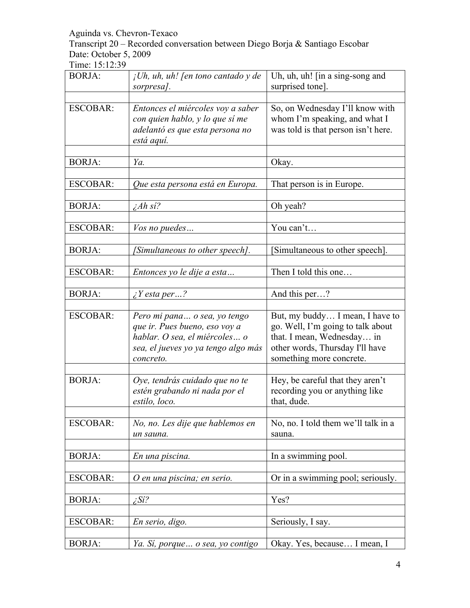Transcript 20 – Recorded conversation between Diego Borja & Santiago Escobar Date: October 5, 2009

| <b>BORJA:</b>   | $i$ Uh, uh, uh! [en tono cantado y de<br>sorpresa].                                                                                                | Uh, uh, uh! [in a sing-song and<br>surprised tone].                                                                                                               |
|-----------------|----------------------------------------------------------------------------------------------------------------------------------------------------|-------------------------------------------------------------------------------------------------------------------------------------------------------------------|
|                 |                                                                                                                                                    |                                                                                                                                                                   |
| <b>ESCOBAR:</b> | Entonces el miércoles voy a saber<br>con quien hablo, y lo que sí me<br>adelantó es que esta persona no<br>está aquí.                              | So, on Wednesday I'll know with<br>whom I'm speaking, and what I<br>was told is that person isn't here.                                                           |
| <b>BORJA:</b>   | Ya.                                                                                                                                                | Okay.                                                                                                                                                             |
| <b>ESCOBAR:</b> | Que esta persona está en Europa.                                                                                                                   | That person is in Europe.                                                                                                                                         |
| <b>BORJA:</b>   | $iAh \, si?$                                                                                                                                       | Oh yeah?                                                                                                                                                          |
| <b>ESCOBAR:</b> | Vos no puedes                                                                                                                                      | You can't                                                                                                                                                         |
| <b>BORJA:</b>   | [Simultaneous to other speech].                                                                                                                    | Simultaneous to other speech].                                                                                                                                    |
| <b>ESCOBAR:</b> | Entonces yo le dije a esta                                                                                                                         | Then I told this one                                                                                                                                              |
| <b>BORJA:</b>   | $\zeta$ Y esta per?                                                                                                                                | And this per?                                                                                                                                                     |
| <b>ESCOBAR:</b> | Pero mi pana o sea, yo tengo<br>que ir. Pues bueno, eso voy a<br>hablar. O sea, el miércoles o<br>sea, el jueves yo ya tengo algo más<br>concreto. | But, my buddy I mean, I have to<br>go. Well, I'm going to talk about<br>that. I mean, Wednesday in<br>other words, Thursday I'll have<br>something more concrete. |
| <b>BORJA:</b>   | Oye, tendrás cuidado que no te<br>estén grabando ni nada por el<br>estilo, loco.                                                                   | Hey, be careful that they aren't<br>recording you or anything like<br>that, dude.                                                                                 |
| <b>ESCOBAR:</b> | No, no. Les dije que hablemos en<br>un sauna.                                                                                                      | No, no. I told them we'll talk in a<br>sauna.                                                                                                                     |
| <b>BORJA:</b>   | En una piscina.                                                                                                                                    | In a swimming pool.                                                                                                                                               |
| <b>ESCOBAR:</b> | O en una piscina; en serio.                                                                                                                        | Or in a swimming pool; seriously.                                                                                                                                 |
| <b>BORJA:</b>   | $i$ Si?                                                                                                                                            | Yes?                                                                                                                                                              |
| <b>ESCOBAR:</b> | En serio, digo.                                                                                                                                    | Seriously, I say.                                                                                                                                                 |
| <b>BORJA:</b>   | Ya. Sí, porque  o sea, yo contigo                                                                                                                  | Okay. Yes, because I mean, I                                                                                                                                      |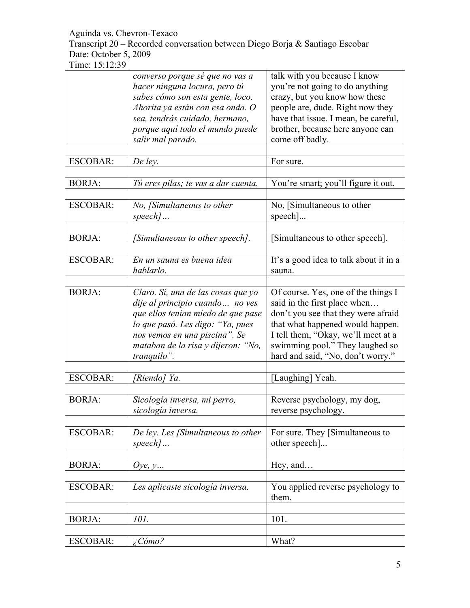Transcript 20 – Recorded conversation between Diego Borja & Santiago Escobar Date: October 5, 2009

| <b>ESCOBAR:</b> | converso porque sé que no vas a<br>hacer ninguna locura, pero tú<br>sabes cómo son esta gente, loco.<br>Ahorita ya están con esa onda. O<br>sea, tendrás cuidado, hermano,<br>porque aquí todo el mundo puede<br>salir mal parado.<br>De ley. | talk with you because I know<br>you're not going to do anything<br>crazy, but you know how these<br>people are, dude. Right now they<br>have that issue. I mean, be careful,<br>brother, because here anyone can<br>come off badly.<br>For sure.              |
|-----------------|-----------------------------------------------------------------------------------------------------------------------------------------------------------------------------------------------------------------------------------------------|---------------------------------------------------------------------------------------------------------------------------------------------------------------------------------------------------------------------------------------------------------------|
| <b>BORJA:</b>   | Tú eres pilas; te vas a dar cuenta.                                                                                                                                                                                                           | You're smart; you'll figure it out.                                                                                                                                                                                                                           |
| <b>ESCOBAR:</b> | No, [Simultaneous to other<br>$speed$                                                                                                                                                                                                         | No, [Simultaneous to other<br>$\text{speed}.$                                                                                                                                                                                                                 |
| <b>BORJA:</b>   | [Simultaneous to other speech].                                                                                                                                                                                                               | Simultaneous to other speech].                                                                                                                                                                                                                                |
| <b>ESCOBAR:</b> | En un sauna es buena idea<br>hablarlo.                                                                                                                                                                                                        | It's a good idea to talk about it in a<br>sauna.                                                                                                                                                                                                              |
| <b>BORJA:</b>   | Claro. Sí, una de las cosas que yo<br>dije al principio cuando  no ves<br>que ellos tenían miedo de que pase<br>lo que pasó. Les digo: "Ya, pues<br>nos vemos en una piscina". Se<br>mataban de la risa y dijeron: "No,<br>tranquilo".        | Of course. Yes, one of the things I<br>said in the first place when<br>don't you see that they were afraid<br>that what happened would happen.<br>I tell them, "Okay, we'll meet at a<br>swimming pool." They laughed so<br>hard and said, "No, don't worry." |
| <b>ESCOBAR:</b> | [Riendo] Ya.                                                                                                                                                                                                                                  | [Laughing] Yeah.                                                                                                                                                                                                                                              |
| <b>BORJA:</b>   | Sicología inversa, mi perro,<br>sicología inversa.                                                                                                                                                                                            | Reverse psychology, my dog,<br>reverse psychology.                                                                                                                                                                                                            |
| <b>ESCOBAR:</b> | De ley. Les [Simultaneous to other<br>$speed$                                                                                                                                                                                                 | For sure. They [Simultaneous to<br>other speech]                                                                                                                                                                                                              |
| <b>BORJA:</b>   | Oye, $y$                                                                                                                                                                                                                                      | Hey, and                                                                                                                                                                                                                                                      |
| <b>ESCOBAR:</b> | Les aplicaste sicología inversa.                                                                                                                                                                                                              | You applied reverse psychology to<br>them.                                                                                                                                                                                                                    |
| <b>BORJA:</b>   | 101.                                                                                                                                                                                                                                          | 101.                                                                                                                                                                                                                                                          |
| <b>ESCOBAR:</b> | $\angle$ Cómo?                                                                                                                                                                                                                                | What?                                                                                                                                                                                                                                                         |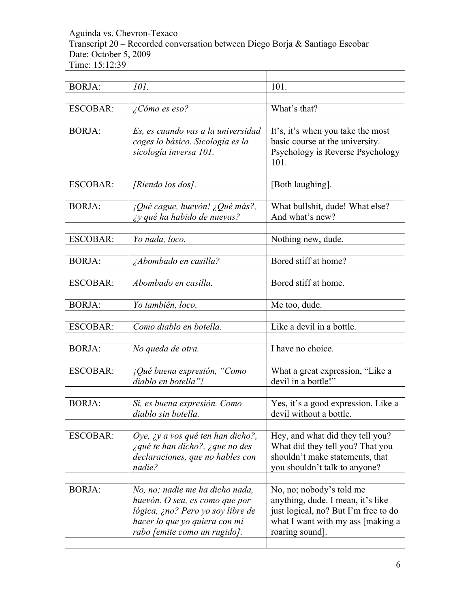Transcript 20 – Recorded conversation between Diego Borja & Santiago Escobar Date: October 5, 2009

| <b>BORJA:</b>   | 101.                                                                                                                                                                    | 101.                                                                                                                                                          |
|-----------------|-------------------------------------------------------------------------------------------------------------------------------------------------------------------------|---------------------------------------------------------------------------------------------------------------------------------------------------------------|
|                 |                                                                                                                                                                         |                                                                                                                                                               |
| <b>ESCOBAR:</b> | ¿Cómo es eso?                                                                                                                                                           | What's that?                                                                                                                                                  |
|                 |                                                                                                                                                                         |                                                                                                                                                               |
| <b>BORJA:</b>   | Es, es cuando vas a la universidad<br>coges lo básico. Sicología es la<br>sicología inversa 101.                                                                        | It's, it's when you take the most<br>basic course at the university.<br>Psychology is Reverse Psychology<br>101.                                              |
| <b>ESCOBAR:</b> | [Riendo los dos].                                                                                                                                                       | [Both laughing].                                                                                                                                              |
|                 |                                                                                                                                                                         |                                                                                                                                                               |
| <b>BORJA:</b>   | $i$ Qué cague, huevón! ¿Qué más?,<br><i>iy</i> qué ha habido de nuevas?                                                                                                 | What bullshit, dude! What else?<br>And what's new?                                                                                                            |
| <b>ESCOBAR:</b> | Yo nada, loco.                                                                                                                                                          | Nothing new, dude.                                                                                                                                            |
|                 |                                                                                                                                                                         |                                                                                                                                                               |
| <b>BORJA:</b>   | <i>Abombado en casilla?</i>                                                                                                                                             | Bored stiff at home?                                                                                                                                          |
|                 |                                                                                                                                                                         |                                                                                                                                                               |
| <b>ESCOBAR:</b> | Abombado en casilla.                                                                                                                                                    | Bored stiff at home.                                                                                                                                          |
| <b>BORJA:</b>   | Yo también, loco.                                                                                                                                                       | Me too, dude.                                                                                                                                                 |
| <b>ESCOBAR:</b> | Como diablo en botella.                                                                                                                                                 | Like a devil in a bottle.                                                                                                                                     |
|                 |                                                                                                                                                                         |                                                                                                                                                               |
| <b>BORJA:</b>   | No queda de otra.                                                                                                                                                       | I have no choice.                                                                                                                                             |
|                 |                                                                                                                                                                         |                                                                                                                                                               |
| <b>ESCOBAR:</b> | $i$ Qué buena expresión, "Como<br>diablo en botella"!                                                                                                                   | What a great expression, "Like a<br>devil in a bottle!"                                                                                                       |
|                 |                                                                                                                                                                         |                                                                                                                                                               |
| <b>BORJA:</b>   | Sí, es buena expresión. Como<br>diablo sin botella.                                                                                                                     | Yes, it's a good expression. Like a<br>devil without a bottle.                                                                                                |
|                 |                                                                                                                                                                         |                                                                                                                                                               |
| <b>ESCOBAR:</b> | Oye, ¿y a vos qué ten han dicho?,<br>i qué te han dicho?, i que no des<br>declaraciones, que no hables con<br>nadie?                                                    | Hey, and what did they tell you?<br>What did they tell you? That you<br>shouldn't make statements, that<br>you shouldn't talk to anyone?                      |
| <b>BORJA:</b>   | No, no; nadie me ha dicho nada,<br>huevón. O sea, es como que por<br>lógica, ¿no? Pero yo soy libre de<br>hacer lo que yo quiera con mi<br>rabo [emite como un rugido]. | No, no; nobody's told me<br>anything, dude. I mean, it's like<br>just logical, no? But I'm free to do<br>what I want with my ass [making a<br>roaring sound]. |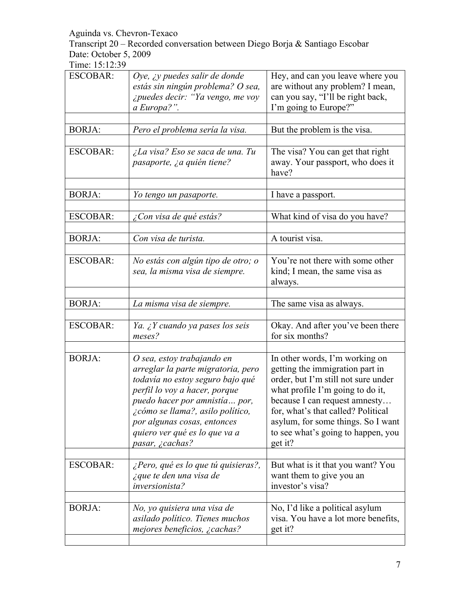Transcript 20 – Recorded conversation between Diego Borja & Santiago Escobar Date: October 5, 2009

| <b>ESCOBAR:</b> | Oye, $\chi y$ puedes salir de donde<br>estás sin ningún problema? O sea,<br>¿puedes decir: "Ya vengo, me voy<br>a Europa?".                                                                                                                                                                   | Hey, and can you leave where you<br>are without any problem? I mean,<br>can you say, "I'll be right back,<br>I'm going to Europe?"                                                                                                                                                                         |
|-----------------|-----------------------------------------------------------------------------------------------------------------------------------------------------------------------------------------------------------------------------------------------------------------------------------------------|------------------------------------------------------------------------------------------------------------------------------------------------------------------------------------------------------------------------------------------------------------------------------------------------------------|
| <b>BORJA:</b>   | Pero el problema sería la visa.                                                                                                                                                                                                                                                               | But the problem is the visa.                                                                                                                                                                                                                                                                               |
| <b>ESCOBAR:</b> | ¿La visa? Eso se saca de una. Tu<br>pasaporte, ¿a quién tiene?                                                                                                                                                                                                                                | The visa? You can get that right<br>away. Your passport, who does it<br>have?                                                                                                                                                                                                                              |
| <b>BORJA:</b>   | Yo tengo un pasaporte.                                                                                                                                                                                                                                                                        | I have a passport.                                                                                                                                                                                                                                                                                         |
| <b>ESCOBAR:</b> | ¿Con visa de qué estás?                                                                                                                                                                                                                                                                       | What kind of visa do you have?                                                                                                                                                                                                                                                                             |
| <b>BORJA:</b>   | Con visa de turista.                                                                                                                                                                                                                                                                          | A tourist visa.                                                                                                                                                                                                                                                                                            |
| <b>ESCOBAR:</b> | No estás con algún tipo de otro; o<br>sea, la misma visa de siempre.                                                                                                                                                                                                                          | You're not there with some other<br>kind; I mean, the same visa as<br>always.                                                                                                                                                                                                                              |
| <b>BORJA:</b>   | La misma visa de siempre.                                                                                                                                                                                                                                                                     | The same visa as always.                                                                                                                                                                                                                                                                                   |
| <b>ESCOBAR:</b> | Ya. ¿Y cuando ya pases los seis<br>meses?                                                                                                                                                                                                                                                     | Okay. And after you've been there<br>for six months?                                                                                                                                                                                                                                                       |
| <b>BORJA:</b>   | O sea, estoy trabajando en<br>arreglar la parte migratoria, pero<br>todavía no estoy seguro bajo qué<br>perfil lo voy a hacer, porque<br>puedo hacer por amnistía por,<br>¿cómo se llama?, asilo político,<br>por algunas cosas, entonces<br>quiero ver qué es lo que va a<br>pasar, ¿cachas? | In other words, I'm working on<br>getting the immigration part in<br>order, but I'm still not sure under<br>what profile I'm going to do it,<br>because I can request amnesty<br>for, what's that called? Political<br>asylum, for some things. So I want<br>to see what's going to happen, you<br>get it? |
| <b>ESCOBAR:</b> | $\zeta$ Pero, qué es lo que tú quisieras?,<br>i que te den una visa de<br>inversionista?                                                                                                                                                                                                      | But what is it that you want? You<br>want them to give you an<br>investor's visa?                                                                                                                                                                                                                          |
| <b>BORJA:</b>   | No, yo quisiera una visa de<br>asilado político. Tienes muchos<br>mejores beneficios, ¿cachas?                                                                                                                                                                                                | No, I'd like a political asylum<br>visa. You have a lot more benefits,<br>get it?                                                                                                                                                                                                                          |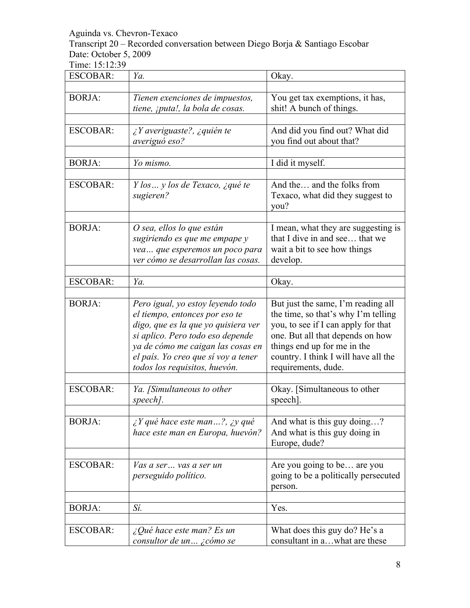Transcript 20 – Recorded conversation between Diego Borja & Santiago Escobar Date: October 5, 2009

| <b>ESCOBAR:</b> | Ya.                                                                                                                                                                                                                                                         | Okay.                                                                                                                                                                                                                                              |
|-----------------|-------------------------------------------------------------------------------------------------------------------------------------------------------------------------------------------------------------------------------------------------------------|----------------------------------------------------------------------------------------------------------------------------------------------------------------------------------------------------------------------------------------------------|
| <b>BORJA:</b>   | Tienen exenciones de impuestos,<br>tiene, ¡puta!, la bola de cosas.                                                                                                                                                                                         | You get tax exemptions, it has,<br>shit! A bunch of things.                                                                                                                                                                                        |
| <b>ESCOBAR:</b> | $i Y$ averiguaste?, $i q$ uién te<br>averiguó eso?                                                                                                                                                                                                          | And did you find out? What did<br>you find out about that?                                                                                                                                                                                         |
| <b>BORJA:</b>   | Yo mismo.                                                                                                                                                                                                                                                   | I did it myself.                                                                                                                                                                                                                                   |
| <b>ESCOBAR:</b> | Y los  y los de Texaco, ¿qué te<br>sugieren?                                                                                                                                                                                                                | And the and the folks from<br>Texaco, what did they suggest to<br>you?                                                                                                                                                                             |
| <b>BORJA:</b>   | O sea, ellos lo que están<br>sugiriendo es que me empape y<br>vea  que esperemos un poco para<br>ver cómo se desarrollan las cosas.                                                                                                                         | I mean, what they are suggesting is<br>that I dive in and see that we<br>wait a bit to see how things<br>develop.                                                                                                                                  |
| <b>ESCOBAR:</b> | Ya.                                                                                                                                                                                                                                                         | Okay.                                                                                                                                                                                                                                              |
| <b>BORJA:</b>   | Pero igual, yo estoy leyendo todo<br>el tiempo, entonces por eso te<br>digo, que es la que yo quisiera ver<br>si aplico. Pero todo eso depende<br>ya de cómo me caigan las cosas en<br>el país. Yo creo que sí voy a tener<br>todos los requisitos, huevón. | But just the same, I'm reading all<br>the time, so that's why I'm telling<br>you, to see if I can apply for that<br>one. But all that depends on how<br>things end up for me in the<br>country. I think I will have all the<br>requirements, dude. |
| <b>ESCOBAR:</b> | Ya. [Simultaneous to other<br>speech].                                                                                                                                                                                                                      | Okay. [Simultaneous to other<br>speech]                                                                                                                                                                                                            |
| <b>BORJA:</b>   | $\chi$ Y qué hace este man?, $\chi$ y qué<br>hace este man en Europa, huevón?                                                                                                                                                                               | And what is this guy doing?<br>And what is this guy doing in<br>Europe, dude?                                                                                                                                                                      |
| <b>ESCOBAR:</b> | Vas a ser vas a ser un<br>perseguido político.                                                                                                                                                                                                              | Are you going to be are you<br>going to be a politically persecuted<br>person.                                                                                                                                                                     |
| <b>BORJA:</b>   | Sí.                                                                                                                                                                                                                                                         | Yes.                                                                                                                                                                                                                                               |
| <b>ESCOBAR:</b> | $\angle$ Qué hace este man? Es un<br>consultor de un ¿cómo se                                                                                                                                                                                               | What does this guy do? He's a<br>consultant in awhat are these                                                                                                                                                                                     |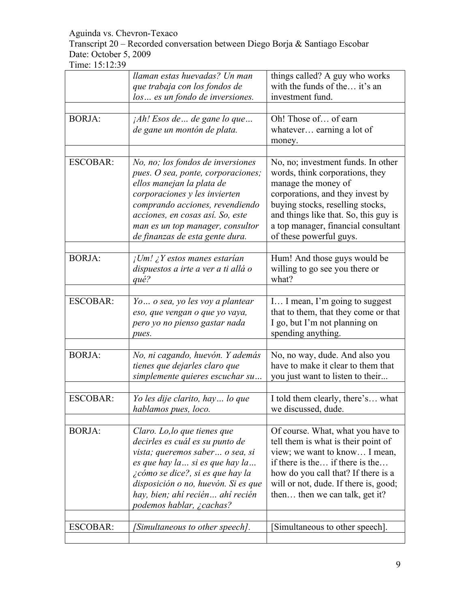Transcript 20 – Recorded conversation between Diego Borja & Santiago Escobar Date: October 5, 2009

|                 | llaman estas huevadas? Un man<br>que trabaja con los fondos de<br>los  es un fondo de inversiones.                                                                                                                                                                                  | things called? A guy who works<br>with the funds of the it's an<br>investment fund.                                                                                                                                                                                             |
|-----------------|-------------------------------------------------------------------------------------------------------------------------------------------------------------------------------------------------------------------------------------------------------------------------------------|---------------------------------------------------------------------------------------------------------------------------------------------------------------------------------------------------------------------------------------------------------------------------------|
| <b>BORJA:</b>   | $A h! E$ sos de  de gane lo que<br>de gane un montón de plata.                                                                                                                                                                                                                      | Oh! Those of of earn<br>whatever earning a lot of<br>money.                                                                                                                                                                                                                     |
| <b>ESCOBAR:</b> | No, no; los fondos de inversiones<br>pues. O sea, ponte, corporaciones;<br>ellos manejan la plata de<br>corporaciones y les invierten<br>comprando acciones, revendiendo<br>acciones, en cosas así. So, este<br>man es un top manager, consultor<br>de finanzas de esta gente dura. | No, no; investment funds. In other<br>words, think corporations, they<br>manage the money of<br>corporations, and they invest by<br>buying stocks, reselling stocks,<br>and things like that. So, this guy is<br>a top manager, financial consultant<br>of these powerful guys. |
| <b>BORJA:</b>   | $\iota$ Um! $\iota$ Y estos manes estarían<br>dispuestos a irte a ver a ti allá o<br>qué?                                                                                                                                                                                           | Hum! And those guys would be<br>willing to go see you there or<br>what?                                                                                                                                                                                                         |
| <b>ESCOBAR:</b> | Yo o sea, yo les voy a plantear<br>eso, que vengan o que yo vaya,<br>pero yo no pienso gastar nada<br>pues.                                                                                                                                                                         | I I mean, I'm going to suggest<br>that to them, that they come or that<br>I go, but I'm not planning on<br>spending anything.                                                                                                                                                   |
| <b>BORJA:</b>   | No, ni cagando, huevón. Y además<br>tienes que dejarles claro que<br>simplemente quieres escuchar su                                                                                                                                                                                | No, no way, dude. And also you<br>have to make it clear to them that<br>you just want to listen to their                                                                                                                                                                        |
| <b>ESCOBAR:</b> | Yo les dije clarito, hay lo que<br>hablamos pues, loco.                                                                                                                                                                                                                             | I told them clearly, there's what<br>we discussed, dude.                                                                                                                                                                                                                        |
| <b>BORJA:</b>   | Claro. Lo, lo que tienes que<br>decirles es cuál es su punto de<br>vista; queremos saber  o sea, si<br>es que hay la  si es que hay la<br>¿cómo se dice?, si es que hay la<br>disposición o no, huevón. Si es que<br>hay, bien; ahí recién ahí recién<br>podemos hablar, ¿cachas?   | Of course. What, what you have to<br>tell them is what is their point of<br>view; we want to know I mean,<br>if there is the if there is the<br>how do you call that? If there is a<br>will or not, dude. If there is, good;<br>then then we can talk, get it?                  |
| <b>ESCOBAR:</b> | [Simultaneous to other speech].                                                                                                                                                                                                                                                     | Simultaneous to other speech.                                                                                                                                                                                                                                                   |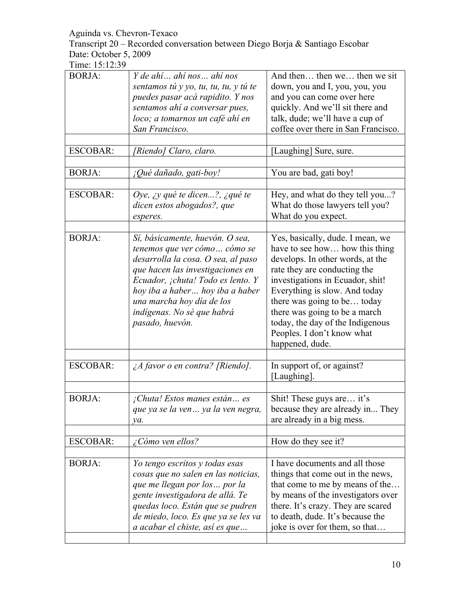Transcript 20 – Recorded conversation between Diego Borja & Santiago Escobar Date: October 5, 2009

| sentamos tú y yo, tu, tu, tu, y tú te<br>puedes pasar acá rapidito. Y nos<br>sentamos ahí a conversar pues,<br>loco; a tomarnos un café ahí en<br>San Francisco.                                                                                                                                | And then then we then we sit<br>down, you and I, you, you, you<br>and you can come over here<br>quickly. And we'll sit there and<br>talk, dude; we'll have a cup of<br>coffee over there in San Francisco.                                                                                                                                                       |
|-------------------------------------------------------------------------------------------------------------------------------------------------------------------------------------------------------------------------------------------------------------------------------------------------|------------------------------------------------------------------------------------------------------------------------------------------------------------------------------------------------------------------------------------------------------------------------------------------------------------------------------------------------------------------|
| [Riendo] Claro, claro.                                                                                                                                                                                                                                                                          | [Laughing] Sure, sure.                                                                                                                                                                                                                                                                                                                                           |
| ¡Qué dañado, gati-boy!                                                                                                                                                                                                                                                                          | You are bad, gati boy!                                                                                                                                                                                                                                                                                                                                           |
| Oye, $\chi$ y qué te dicen?, $\chi$ qué te<br>dicen estos abogados?, que<br>esperes.                                                                                                                                                                                                            | Hey, and what do they tell you?<br>What do those lawyers tell you?<br>What do you expect.                                                                                                                                                                                                                                                                        |
| Sí, básicamente, huevón. O sea,<br>tenemos que ver cómo cómo se<br>desarrolla la cosa. O sea, al paso<br>que hacen las investigaciones en<br>Ecuador, ¡chuta! Todo es lento. Y<br>hoy iba a haber hoy iba a haber<br>una marcha hoy día de los<br>indígenas. No sé que habrá<br>pasado, huevón. | Yes, basically, dude. I mean, we<br>have to see how how this thing<br>develops. In other words, at the<br>rate they are conducting the<br>investigations in Ecuador, shit!<br>Everything is slow. And today<br>there was going to be today<br>there was going to be a march<br>today, the day of the Indigenous<br>Peoples. I don't know what<br>happened, dude. |
| $\lambda$ favor o en contra? [Riendo].                                                                                                                                                                                                                                                          | In support of, or against?<br>[Laughing].                                                                                                                                                                                                                                                                                                                        |
| $i$ Chuta! Estos manes están es<br>que ya se la ven ya la ven negra,<br>va.                                                                                                                                                                                                                     | Shit! These guys are it's<br>because they are already in They<br>are already in a big mess.                                                                                                                                                                                                                                                                      |
| ¿Cómo ven ellos?                                                                                                                                                                                                                                                                                | How do they see it?                                                                                                                                                                                                                                                                                                                                              |
| Yo tengo escritos y todas esas<br>cosas que no salen en las noticias,<br>que me llegan por los  por la<br>gente investigadora de allá. Te<br>quedas loco. Están que se pudren<br>de miedo, loco. Es que ya se les va<br>a acabar el chiste, así es que                                          | I have documents and all those<br>things that come out in the news,<br>that come to me by means of the<br>by means of the investigators over<br>there. It's crazy. They are scared<br>to death, dude. It's because the<br>joke is over for them, so that                                                                                                         |
|                                                                                                                                                                                                                                                                                                 | Y de ahí  ahí nos  ahí nos                                                                                                                                                                                                                                                                                                                                       |